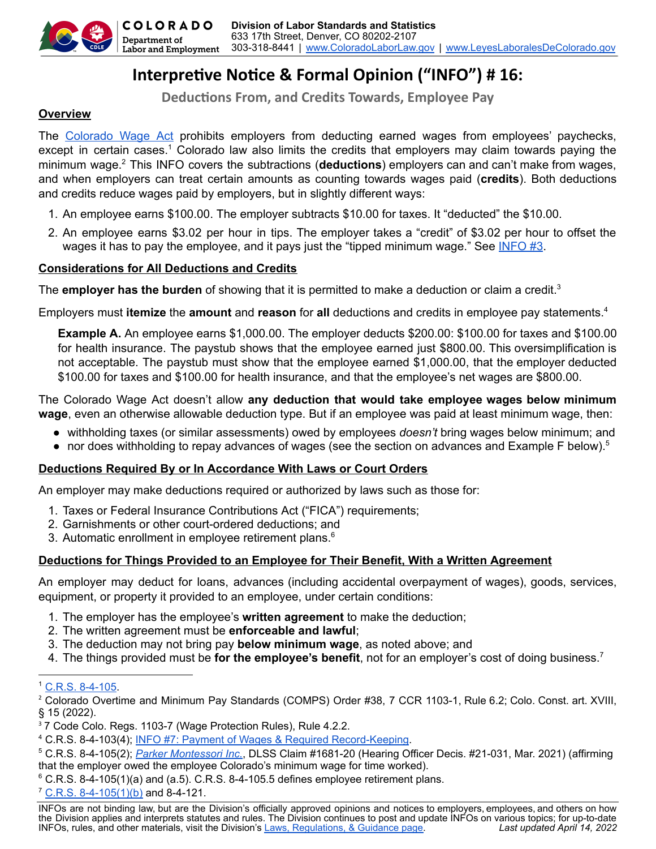

# **Interpretive Notice & Formal Opinion ("INFO") # 16:**

**Deducons From, and Credits Towards, Employee Pay**

# **Overview**

The [Colorado](https://cdle.colorado.gov/laws-regulations-guidance) Wage Act prohibits employers from deducting earned wages from employees' paychecks, except in certain cases.<sup>1</sup> Colorado law also limits the credits that employers may claim towards paying the minimum wage.<sup>2</sup> This INFO covers the subtractions (**deductions**) employers can and can't make from wages, and when employers can treat certain amounts as counting towards wages paid (**credits**). Both deductions and credits reduce wages paid by employers, but in slightly different ways:

- 1. An employee earns \$100.00. The employer subtracts \$10.00 for taxes. It "deducted" the \$10.00.
- 2. An employee earns \$3.02 per hour in tips. The employer takes a "credit" of \$3.02 per hour to offset the wages it has to pay the employee, and it pays just the "tipped minimum wage." See [INFO](https://cdle.colorado.gov/infos) #3.

# **Considerations for All Deductions and Credits**

The **employer has the burden** of showing that it is permitted to make a deduction or claim a credit. 3

Employers must **itemize** the **amount** and **reason** for **all** deductions and credits in employee pay statements. 4

**Example A.** An employee earns \$1,000.00. The employer deducts \$200.00: \$100.00 for taxes and \$100.00 for health insurance. The paystub shows that the employee earned just \$800.00. This oversimplification is not acceptable. The paystub must show that the employee earned \$1,000.00, that the employer deducted \$100.00 for taxes and \$100.00 for health insurance, and that the employee's net wages are \$800.00.

The Colorado Wage Act doesn't allow **any deduction that would take employee wages below minimum wage**, even an otherwise allowable deduction type. But if an employee was paid at least minimum wage, then:

- withholding taxes (or similar assessments) owed by employees *doesn't* bring wages below minimum; and
- $\bullet$  nor does withholding to repay advances of wages (see the section on advances and Example F below).<sup>5</sup>

# **Deductions Required By or In Accordance With Laws or Court Orders**

An employer may make deductions required or authorized by laws such as those for:

- 1. Taxes or Federal Insurance Contributions Act ("FICA") requirements;
- 2. Garnishments or other court-ordered deductions; and
- 3. Automatic enrollment in employee retirement plans. $6$

# **Deductions for Things Provided to an Employee for Their Benefit, With a Written Agreement**

An employer may deduct for loans, advances (including accidental overpayment of wages), goods, services, equipment, or property it provided to an employee, under certain conditions:

- 1. The employer has the employee's **written agreement** to make the deduction;
- 2. The written agreement must be **enforceable and lawful**;
- 3. The deduction may not bring pay **below minimum wage**, as noted above; and
- 4. The things provided must be **for the employee's benefit**, not for an employer's cost of doing business. 7

#### <sup>1</sup> C.R.S. [8-4-105.](https://cdle.colorado.gov/laws-regulations-guidance)

<sup>4</sup> C.R.S. 8-4-103(4); INFO #7: Payment of Wages & Required [Record-Keeping.](https://cdle.colorado.gov/infos)

 $6$  C.R.S. 8-4-105(1)(a) and (a.5). C.R.S. 8-4-105.5 defines employee retirement plans.

 $7$  C.R.S. [8-4-105\(1\)\(b\)](https://cdle.colorado.gov/laws-regulations-guidance) and 8-4-121.

<sup>2</sup> Colorado Overtime and Minimum Pay Standards (COMPS) Order #38, 7 CCR 1103-1, Rule 6.2; Colo. Const. art. XVIII, § 15 (2022).

<sup>&</sup>lt;sup>3</sup> 7 Code Colo. Regs. 1103-7 (Wage Protection Rules), Rule 4.2.2.

<sup>5</sup> C.R.S. 8-4-105(2); *Parker [Montessori](https://drive.google.com/file/d/1p4yZss-mOfjeCBO-WCPc8UpMUIQwbfYH/view) Inc.*, DLSS Claim #1681-20 (Hearing Officer Decis. #21-031, Mar. 2021) (affirming that the employer owed the employee Colorado's minimum wage for time worked).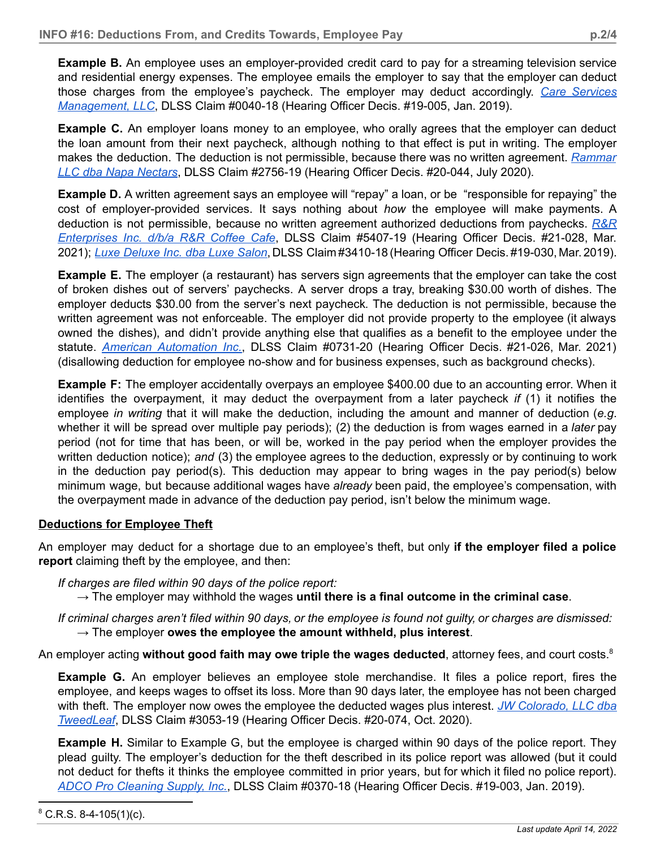**Example B.** An employee uses an employer-provided credit card to pay for a streaming television service and residential energy expenses. The employee emails the employer to say that the employer can deduct those charges from the employee's paycheck. The employer may deduct accordingly. *Care [Services](https://drive.google.com/file/d/1bkPuJsK7tQlTThZyhiLz-eUe2klHmXRR/view) [Management,](https://drive.google.com/file/d/1bkPuJsK7tQlTThZyhiLz-eUe2klHmXRR/view) LLC*, DLSS Claim #0040-18 (Hearing Officer Decis. #19-005, Jan. 2019).

**Example C.** An employer loans money to an employee, who orally agrees that the employer can deduct the loan amount from their next paycheck, although nothing to that effect is put in writing. The employer makes the deduction. The deduction is not permissible, because there was no written agreement. *[Rammar](https://drive.google.com/file/d/176HiL_ASJWnlOGCawYXRMUV67-ewOBpU/view) LLC dba Napa [Nectars](https://drive.google.com/file/d/176HiL_ASJWnlOGCawYXRMUV67-ewOBpU/view)*, DLSS Claim #2756-19 (Hearing Officer Decis. #20-044, July 2020).

**Example D.** A written agreement says an employee will "repay" a loan, or be "responsible for repaying" the cost of employer-provided services. It says nothing about *how* the employee will make payments. A deduction is not permissible, because no written agreement authorized deductions from paychecks. *[R&R](https://drive.google.com/file/d/1OdjvR5VlYckjZ4E6JhI99Rob9ahM0wHW/view) [Enterprises](https://drive.google.com/file/d/1OdjvR5VlYckjZ4E6JhI99Rob9ahM0wHW/view) Inc. d/b/a R&R Coffee Cafe*, DLSS Claim #5407-19 (Hearing Officer Decis. #21-028, Mar. 2021); *Luxe [Deluxe](https://drive.google.com/file/d/12fJDEBkR6haEXBNIwk9KsKiHBFO4BcJa/view) Inc. dba Luxe Salon*, DLSS Claim #3410-18 (Hearing Officer Decis. #19-030, Mar. 2019).

**Example E.** The employer (a restaurant) has servers sign agreements that the employer can take the cost of broken dishes out of servers' paychecks. A server drops a tray, breaking \$30.00 worth of dishes. The employer deducts \$30.00 from the server's next paycheck*.* The deduction is not permissible, because the written agreement was not enforceable. The employer did not provide property to the employee (it always owned the dishes), and didn't provide anything else that qualifies as a benefit to the employee under the statute. *American [Automation](https://drive.google.com/file/d/1HD0WQHzHxf1KRO8qcj0n4mJ4q_WOXbgE/view) Inc.*, DLSS Claim #0731-20 (Hearing Officer Decis. #21-026, Mar. 2021) (disallowing deduction for employee no-show and for business expenses, such as background checks).

**Example F:** The employer accidentally overpays an employee \$400.00 due to an accounting error. When it identifies the overpayment, it may deduct the overpayment from a later paycheck *if* (1) it notifies the employee *in writing* that it will make the deduction, including the amount and manner of deduction (*e.g*. whether it will be spread over multiple pay periods); (2) the deduction is from wages earned in a *later* pay period (not for time that has been, or will be, worked in the pay period when the employer provides the written deduction notice); *and* (3) the employee agrees to the deduction, expressly or by continuing to work in the deduction pay period(s). This deduction may appear to bring wages in the pay period(s) below minimum wage, but because additional wages have *already* been paid, the employee's compensation, with the overpayment made in advance of the deduction pay period, isn't below the minimum wage.

# **Deductions for Employee Theft**

An employer may deduct for a shortage due to an employee's theft, but only **if the employer filed a police report** claiming theft by the employee, and then:

*If charges are filed within 90 days of the police report:*

→ The employer may withhold the wages **until there is a final outcome in the criminal case**.

If criminal charges aren't filed within 90 days, or the employee is found not quilty, or charges are dismissed: → The employer **owes the employee the amount withheld, plus interest**.

An employer acting **without good faith may owe triple the wages deducted**, attorney fees, and court costs. 8

**Example G.** An employer believes an employee stole merchandise. It files a police report, fires the employee, and keeps wages to offset its loss. More than 90 days later, the employee has not been charged with theft. The employer now owes the employee the deducted wages plus interest. *JW [Colorado,](https://drive.google.com/file/d/1mPnrrGcZ5oqUzxrMC_UFjLkG-xZMxf7y/view) LLC dba [TweedLeaf](https://drive.google.com/file/d/1mPnrrGcZ5oqUzxrMC_UFjLkG-xZMxf7y/view)*, DLSS Claim #3053-19 (Hearing Officer Decis. #20-074, Oct. 2020).

**Example H.** Similar to Example G, but the employee is charged within 90 days of the police report. They plead guilty. The employer's deduction for the theft described in its police report was allowed (but it could not deduct for thefts it thinks the employee committed in prior years, but for which it filed no police report). *ADCO Pro [Cleaning](https://drive.google.com/file/d/1bpY4j7kut9z6JznH1-txP_FGRXApjfNT/view) Supply, Inc.*, DLSS Claim #0370-18 (Hearing Officer Decis. #19-003, Jan. 2019).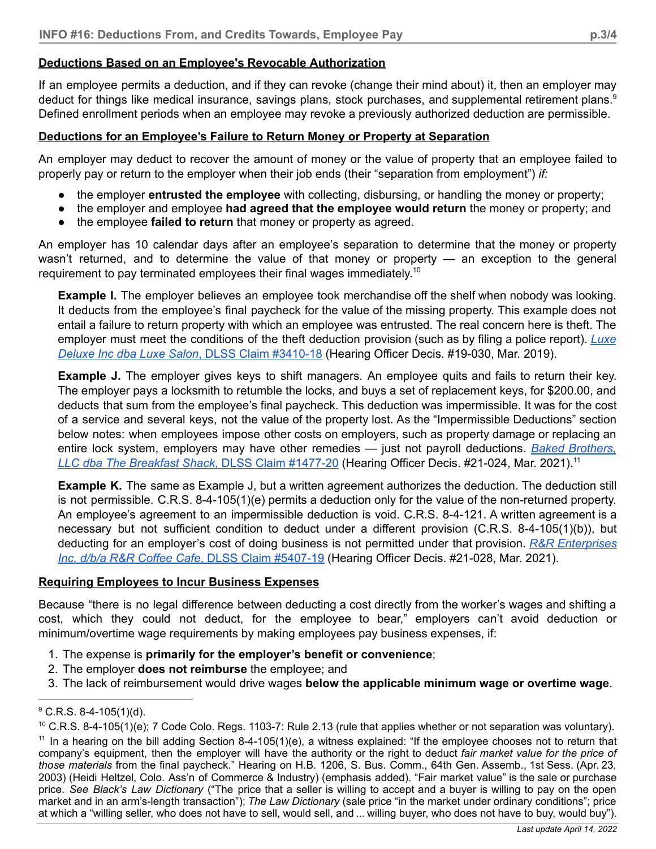# **Deductions Based on an Employee's Revocable Authorization**

If an employee permits a deduction, and if they can revoke (change their mind about) it, then an employer may deduct for things like medical insurance, savings plans, stock purchases, and supplemental retirement plans.<sup>9</sup> Defined enrollment periods when an employee may revoke a previously authorized deduction are permissible.

# **Deductions for an Employee's Failure to Return Money or Property at Separation**

An employer may deduct to recover the amount of money or the value of property that an employee failed to properly pay or return to the employer when their job ends (their "separation from employment") *if:*

- the employer **entrusted the employee** with collecting, disbursing, or handling the money or property;
- the employer and employee **had agreed that the employee would return** the money or property; and
- the employee **failed to return** that money or property as agreed.

An employer has 10 calendar days after an employee's separation to determine that the money or property wasn't returned, and to determine the value of that money or property — an exception to the general requirement to pay terminated employees their final wages immediately.<sup>10</sup>

**Example I.** The employer believes an employee took merchandise off the shelf when nobody was looking. It deducts from the employee's final paycheck for the value of the missing property. This example does not entail a failure to return property with which an employee was entrusted. The real concern here is theft. The employer must meet the conditions of the theft deduction provision (such as by filing a police report). *[Luxe](https://drive.google.com/file/d/12fJDEBkR6haEXBNIwk9KsKiHBFO4BcJa/view) Deluxe Inc dba Luxe Salon*, DLSS Claim [#3410-18](https://drive.google.com/file/d/12fJDEBkR6haEXBNIwk9KsKiHBFO4BcJa/view) (Hearing Officer Decis. #19-030, Mar. 2019).

**Example J.** The employer gives keys to shift managers. An employee quits and fails to return their key. The employer pays a locksmith to retumble the locks, and buys a set of replacement keys, for \$200.00, and deducts that sum from the employee's final paycheck. This deduction was impermissible. It was for the cost of a service and several keys, not the value of the property lost. As the "Impermissible Deductions" section below notes: when employees impose other costs on employers, such as property damage or replacing an entire lock system, employers may have other remedies — just not payroll deductions. *Baked [Brothers,](https://drive.google.com/file/d/17HV_aA_Yo172USZ72JIgSr7FCSq2ytpb/view) LLC dba The [Breakfast](https://drive.google.com/file/d/17HV_aA_Yo172USZ72JIgSr7FCSq2ytpb/view) Shack*, DLSS Claim #1477-20 (Hearing Officer Decis. #21-024, Mar. 2021). 11

**Example K.** The same as Example J, but a written agreement authorizes the deduction. The deduction still is not permissible. C.R.S. 8-4-105(1)(e) permits a deduction only for the value of the non-returned property. An employee's agreement to an impermissible deduction is void. C.R.S. 8-4-121. A written agreement is a necessary but not sufficient condition to deduct under a different provision (C.R.S. 8-4-105(1)(b)), but deducting for an employer's cost of doing business is not permitted under that provision. *R&R [Enterprises](https://drive.google.com/file/d/1OdjvR5VlYckjZ4E6JhI99Rob9ahM0wHW/view) Inc. d/b/a R&R Coffee Cafe*, DLSS Claim [#5407-19](https://drive.google.com/file/d/1OdjvR5VlYckjZ4E6JhI99Rob9ahM0wHW/view) (Hearing Officer Decis. #21-028, Mar. 2021).

# **Requiring Employees to Incur Business Expenses**

Because "there is no legal difference between deducting a cost directly from the worker's wages and shifting a cost, which they could not deduct, for the employee to bear," employers can't avoid deduction or minimum/overtime wage requirements by making employees pay business expenses, if:

- 1. The expense is **primarily for the employer's benefit or convenience**;
- 2. The employer **does not reimburse** the employee; and
- 3. The lack of reimbursement would drive wages **below the applicable minimum wage or overtime wage**.

 $9^{\circ}$  C.R.S. 8-4-105(1)(d).

 $11$  In a hearing on the bill adding Section 8-4-105(1)(e), a witness explained: "If the employee chooses not to return that company's equipment, then the employer will have the authority or the right to deduct *fair market value for the price of those materials* from the final paycheck." Hearing on H.B. 1206, S. Bus. Comm., 64th Gen. Assemb., 1st Sess. (Apr. 23, 2003) (Heidi Heltzel, Colo. Ass'n of Commerce & Industry) (emphasis added). "Fair market value" is the sale or purchase price. *See Black's Law Dictionary* ("The price that a seller is willing to accept and a buyer is willing to pay on the open market and in an arm's-length transaction"); *The Law Dictionary* (sale price "in the market under ordinary conditions"; price at which a "willing seller, who does not have to sell, would sell, and ... willing buyer, who does not have to buy, would buy").  $10$  C.R.S. 8-4-105(1)(e); 7 Code Colo. Regs. 1103-7: Rule 2.13 (rule that applies whether or not separation was voluntary).